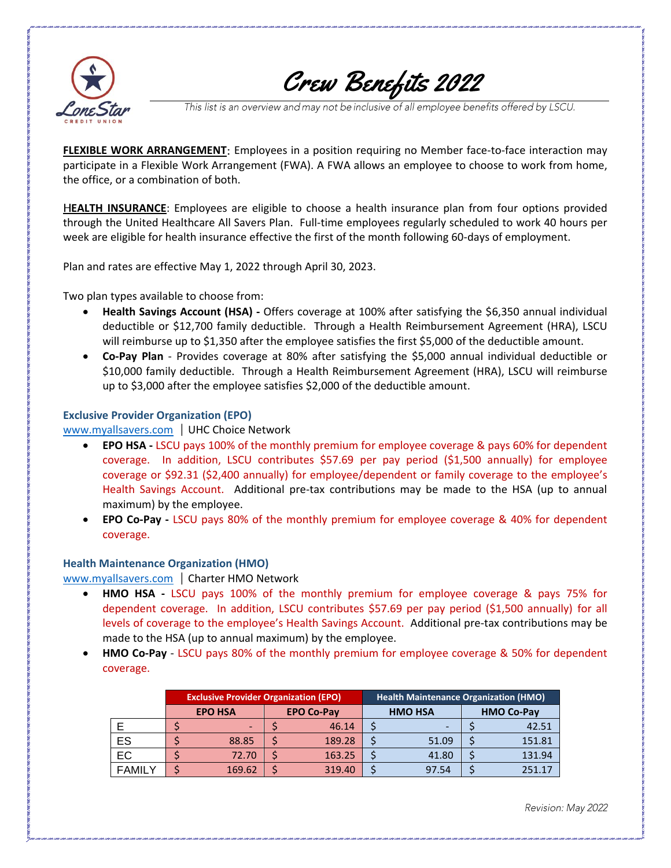

## Crew Benefits 2022

This list is an overview and may not be inclusive of all employee benefits offered by LSCU.

**FLEXIBLE WORK ARRANGEMENT:** Employees in a position requiring no Member face-to-face interaction may participate in a Flexible Work Arrangement (FWA). A FWA allows an employee to choose to work from home, the office, or a combination of both.

**EALTH INSURANCE**: Employees are eligible to choose a health insurance plan from four options provided through the United Healthcare All Savers Plan. Full-time employees regularly scheduled to work 40 hours per week are eligible for health insurance effective the first of the month following 60-days of employment.

Plan and rates are effective May 1, 2022 through April 30, 2023.

Two plan types available to choose from:

- **Health Savings Account (HSA) -** Offers coverage at 100% after satisfying the \$6,350 annual individual deductible or \$12,700 family deductible. Through a Health Reimbursement Agreement (HRA), LSCU will reimburse up to \$1,350 after the employee satisfies the first \$5,000 of the deductible amount.
- **Co-Pay Plan** Provides coverage at 80% after satisfying the \$5,000 annual individual deductible or \$10,000 family deductible. Through a Health Reimbursement Agreement (HRA), LSCU will reimburse up to \$3,000 after the employee satisfies \$2,000 of the deductible amount.

## **Exclusive Provider Organization (EPO)**

[www.myallsavers.com](http://www.myallsavers.com/) | UHC Choice Network

- **EPO HSA -** LSCU pays 100% of the monthly premium for employee coverage & pays 60% for dependent coverage. In addition, LSCU contributes \$57.69 per pay period (\$1,500 annually) for employee coverage or \$92.31 (\$2,400 annually) for employee/dependent or family coverage to the employee's Health Savings Account. Additional pre-tax contributions may be made to the HSA (up to annual maximum) by the employee.
- **EPO Co-Pay -** LSCU pays 80% of the monthly premium for employee coverage & 40% for dependent coverage.

## **Health Maintenance Organization (HMO)**

[www.myallsavers.com](http://www.myallsavers.com/) | Charter HMO Network

- **HMO HSA -** LSCU pays 100% of the monthly premium for employee coverage & pays 75% for dependent coverage. In addition, LSCU contributes \$57.69 per pay period (\$1,500 annually) for all levels of coverage to the employee's Health Savings Account. Additional pre-tax contributions may be made to the HSA (up to annual maximum) by the employee.
- **HMO Co-Pay** LSCU pays 80% of the monthly premium for employee coverage & 50% for dependent coverage.

|               | <b>Exclusive Provider Organization (EPO)</b> |                |  |                   | <b>Health Maintenance Organization (HMO)</b> |                |  |                   |
|---------------|----------------------------------------------|----------------|--|-------------------|----------------------------------------------|----------------|--|-------------------|
|               |                                              | <b>EPO HSA</b> |  | <b>EPO Co-Pay</b> |                                              | <b>HMO HSA</b> |  | <b>HMO Co-Pay</b> |
|               |                                              |                |  | 46.14             |                                              |                |  | 42.51             |
| ES            |                                              | 88.85          |  | 189.28            |                                              | 51.09          |  | 151.81            |
| EC            |                                              | 72.70          |  | 163.25            |                                              | 41.80          |  | 131.94            |
| <b>FAMILY</b> |                                              | 169.62         |  | 319.40            |                                              | 97.54          |  | 251 17            |

Revision: May 2022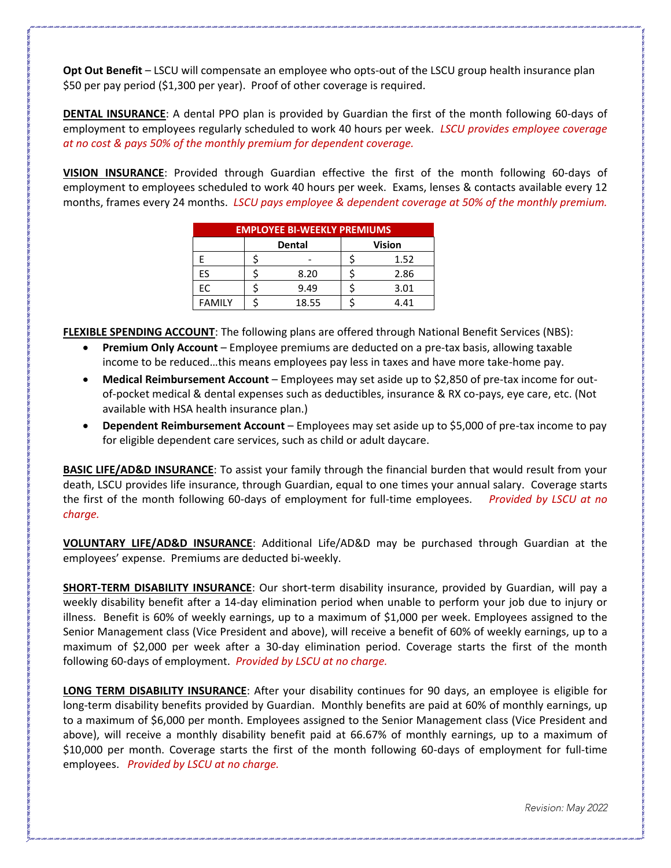**Opt Out Benefit** – LSCU will compensate an employee who opts-out of the LSCU group health insurance plan \$50 per pay period (\$1,300 per year). Proof of other coverage is required.

**DENTAL INSURANCE**: A dental PPO plan is provided by Guardian the first of the month following 60-days of employment to employees regularly scheduled to work 40 hours per week. *LSCU provides employee coverage at no cost & pays 50% of the monthly premium for dependent coverage.*

**VISION INSURANCE**: Provided through Guardian effective the first of the month following 60-days of employment to employees scheduled to work 40 hours per week. Exams, lenses & contacts available every 12 months, frames every 24 months. *LSCU pays employee & dependent coverage at 50% of the monthly premium.*

| <b>EMPLOYEE BI-WEEKLY PREMIUMS</b> |  |        |               |      |  |  |  |  |  |
|------------------------------------|--|--------|---------------|------|--|--|--|--|--|
|                                    |  | Dental | <b>Vision</b> |      |  |  |  |  |  |
|                                    |  |        |               | 1.52 |  |  |  |  |  |
| ES                                 |  | 8.20   |               | 2.86 |  |  |  |  |  |
| EC                                 |  | 9.49   |               | 3.01 |  |  |  |  |  |
| <b>FAMILY</b>                      |  | 18.55  |               | 4.41 |  |  |  |  |  |

**FLEXIBLE SPENDING ACCOUNT**: The following plans are offered through National Benefit Services (NBS):

- **Premium Only Account**  Employee premiums are deducted on a pre-tax basis, allowing taxable income to be reduced…this means employees pay less in taxes and have more take-home pay.
- **Medical Reimbursement Account**  Employees may set aside up to \$2,850 of pre-tax income for outof-pocket medical & dental expenses such as deductibles, insurance & RX co-pays, eye care, etc. (Not available with HSA health insurance plan.)
- **Dependent Reimbursement Account**  Employees may set aside up to \$5,000 of pre-tax income to pay for eligible dependent care services, such as child or adult daycare.

**BASIC LIFE/AD&D INSURANCE**: To assist your family through the financial burden that would result from your death, LSCU provides life insurance, through Guardian, equal to one times your annual salary. Coverage starts the first of the month following 60-days of employment for full-time employees. *Provided by LSCU at no charge.*

**VOLUNTARY LIFE/AD&D INSURANCE**: Additional Life/AD&D may be purchased through Guardian at the employees' expense. Premiums are deducted bi-weekly.

**SHORT-TERM DISABILITY INSURANCE**: Our short-term disability insurance, provided by Guardian, will pay a weekly disability benefit after a 14-day elimination period when unable to perform your job due to injury or illness. Benefit is 60% of weekly earnings, up to a maximum of \$1,000 per week. Employees assigned to the Senior Management class (Vice President and above), will receive a benefit of 60% of weekly earnings, up to a maximum of \$2,000 per week after a 30-day elimination period. Coverage starts the first of the month following 60-days of employment. *Provided by LSCU at no charge.*

**LONG TERM DISABILITY INSURANCE**: After your disability continues for 90 days, an employee is eligible for long-term disability benefits provided by Guardian. Monthly benefits are paid at 60% of monthly earnings, up to a maximum of \$6,000 per month. Employees assigned to the Senior Management class (Vice President and above), will receive a monthly disability benefit paid at 66.67% of monthly earnings, up to a maximum of \$10,000 per month. Coverage starts the first of the month following 60-days of employment for full-time employees. *Provided by LSCU at no charge.*

Revision: May 2022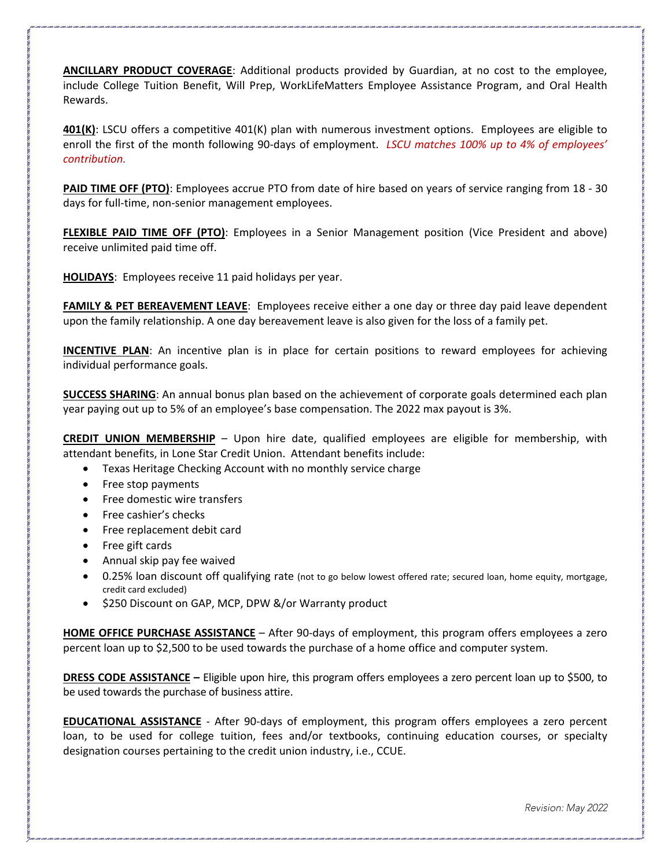**ANCILLARY PRODUCT COVERAGE**: Additional products provided by Guardian, at no cost to the employee, include College Tuition Benefit, Will Prep, WorkLifeMatters Employee Assistance Program, and Oral Health Rewards.

**401(K)**: LSCU offers a competitive 401(K) plan with numerous investment options. Employees are eligible to enroll the first of the month following 90-days of employment. *LSCU matches 100% up to 4% of employees' contribution.*

**PAID TIME OFF (PTO)**: Employees accrue PTO from date of hire based on years of service ranging from 18 - 30 days for full-time, non-senior management employees.

**FLEXIBLE PAID TIME OFF (PTO)**: Employees in a Senior Management position (Vice President and above) receive unlimited paid time off.

**HOLIDAYS**: Employees receive 11 paid holidays per year.

**FAMILY & PET BEREAVEMENT LEAVE**: Employees receive either a one day or three day paid leave dependent upon the family relationship. A one day bereavement leave is also given for the loss of a family pet.

**INCENTIVE PLAN**: An incentive plan is in place for certain positions to reward employees for achieving individual performance goals.

**SUCCESS SHARING**: An annual bonus plan based on the achievement of corporate goals determined each plan year paying out up to 5% of an employee's base compensation. The 2022 max payout is 3%.

**CREDIT UNION MEMBERSHIP** – Upon hire date, qualified employees are eligible for membership, with attendant benefits, in Lone Star Credit Union. Attendant benefits include:

- Texas Heritage Checking Account with no monthly service charge
- Free stop payments
- Free domestic wire transfers
- Free cashier's checks
- Free replacement debit card
- Free gift cards
- Annual skip pay fee waived
- 0.25% loan discount off qualifying rate (not to go below lowest offered rate; secured loan, home equity, mortgage, credit card excluded)
- \$250 Discount on GAP, MCP, DPW &/or Warranty product

**HOME OFFICE PURCHASE ASSISTANCE** – After 90-days of employment, this program offers employees a zero percent loan up to \$2,500 to be used towards the purchase of a home office and computer system.

**DRESS CODE ASSISTANCE –** Eligible upon hire, this program offers employees a zero percent loan up to \$500, to be used towards the purchase of business attire.

**EDUCATIONAL ASSISTANCE** - After 90-days of employment, this program offers employees a zero percent loan, to be used for college tuition, fees and/or textbooks, continuing education courses, or specialty designation courses pertaining to the credit union industry, i.e., CCUE.

Revision: May 2022